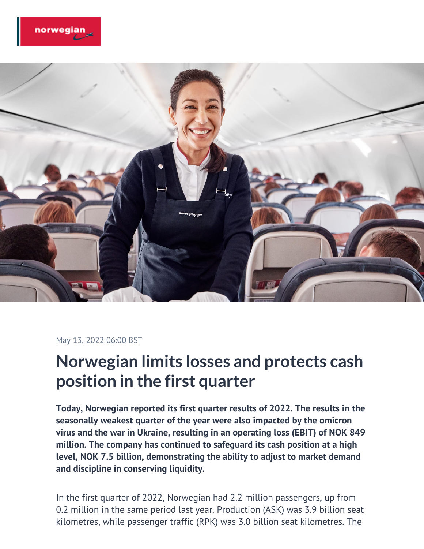



#### May 13, 2022 06:00 BST

# **Norwegian limits losses and protects cash position in the first quarter**

**Today, Norwegian reported its first quarter results of 2022. The results in the seasonally weakest quarter of the year were also impacted by the omicron virus and the war in Ukraine, resulting in an operating loss (EBIT) of NOK 849 million. The company has continued to safeguard its cash position at a high level, NOK 7.5 billion, demonstrating the ability to adjust to market demand and discipline in conserving liquidity.**

In the first quarter of 2022, Norwegian had 2.2 million passengers, up from 0.2 million in the same period last year. Production (ASK) was 3.9 billion seat kilometres, while passenger traffic (RPK) was 3.0 billion seat kilometres. The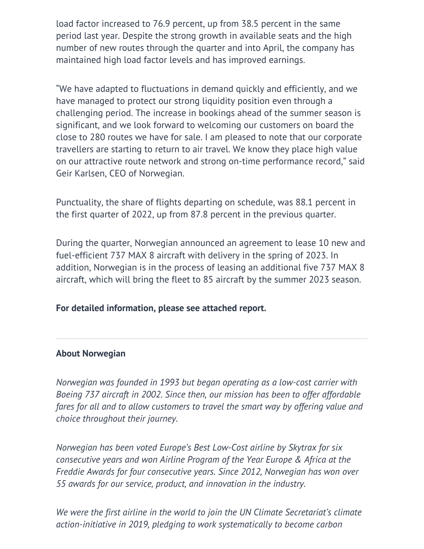load factor increased to 76.9 percent, up from 38.5 percent in the same period last year. Despite the strong growth in available seats and the high number of new routes through the quarter and into April, the company has maintained high load factor levels and has improved earnings.

"We have adapted to fluctuations in demand quickly and efficiently, and we have managed to protect our strong liquidity position even through a challenging period. The increase in bookings ahead of the summer season is significant, and we look forward to welcoming our customers on board the close to 280 routes we have for sale. I am pleased to note that our corporate travellers are starting to return to air travel. We know they place high value on our attractive route network and strong on-time performance record," said Geir Karlsen, CEO of Norwegian.

Punctuality, the share of flights departing on schedule, was 88.1 percent in the first quarter of 2022, up from 87.8 percent in the previous quarter.

During the quarter, Norwegian announced an agreement to lease 10 new and fuel-efficient 737 MAX 8 aircraft with delivery in the spring of 2023. In addition, Norwegian is in the process of leasing an additional five 737 MAX 8 aircraft, which will bring the fleet to 85 aircraft by the summer 2023 season.

# **For detailed information, please see attached report.**

## **About Norwegian**

*Norwegian was founded in 1993 but began operating as a low-cost carrier with Boeing 737 aircraft in 2002. Since then, our mission has been to offer affordable fares for all and to allow customers to travel the smart way by offering value and choice throughout their journey.*

*Norwegian has been voted Europe's Best Low-Cost airline by Skytrax for six consecutive years and won Airline Program of the Year Europe & Africa at the Freddie Awards for four consecutive years. Since 2012, Norwegian has won over 55 awards for our service, product, and innovation in the industry.*

*We were the first airline in the world to join the UN Climate Secretariat's climate action-initiative in 2019, pledging to work systematically to become carbon*